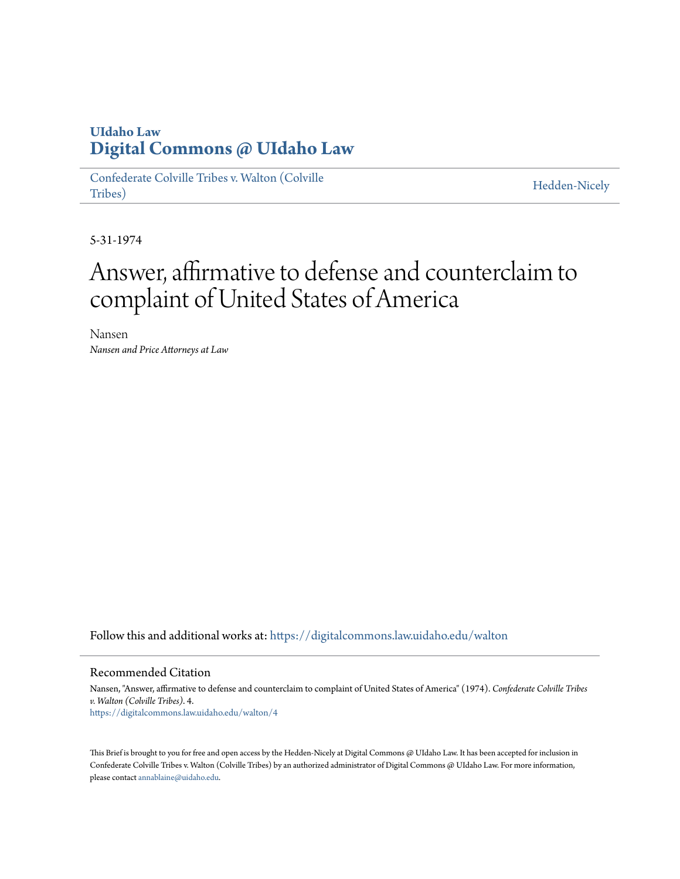## **UIdaho Law [Digital Commons @ UIdaho Law](https://digitalcommons.law.uidaho.edu?utm_source=digitalcommons.law.uidaho.edu%2Fwalton%2F4&utm_medium=PDF&utm_campaign=PDFCoverPages)**

[Confederate Colville Tribes v. Walton \(Colville](https://digitalcommons.law.uidaho.edu/walton?utm_source=digitalcommons.law.uidaho.edu%2Fwalton%2F4&utm_medium=PDF&utm_campaign=PDFCoverPages) [Tribes\)](https://digitalcommons.law.uidaho.edu/walton?utm_source=digitalcommons.law.uidaho.edu%2Fwalton%2F4&utm_medium=PDF&utm_campaign=PDFCoverPages)

[Hedden-Nicely](https://digitalcommons.law.uidaho.edu/hedden-nicely?utm_source=digitalcommons.law.uidaho.edu%2Fwalton%2F4&utm_medium=PDF&utm_campaign=PDFCoverPages)

5-31-1974

## Answer, affirmative to defense and counterclaim to complaint of United States of America

Nansen *Nansen and Price Attorneys at Law*

Follow this and additional works at: [https://digitalcommons.law.uidaho.edu/walton](https://digitalcommons.law.uidaho.edu/walton?utm_source=digitalcommons.law.uidaho.edu%2Fwalton%2F4&utm_medium=PDF&utm_campaign=PDFCoverPages)

## Recommended Citation

Nansen, "Answer, affirmative to defense and counterclaim to complaint of United States of America" (1974). *Confederate Colville Tribes v. Walton (Colville Tribes)*. 4. [https://digitalcommons.law.uidaho.edu/walton/4](https://digitalcommons.law.uidaho.edu/walton/4?utm_source=digitalcommons.law.uidaho.edu%2Fwalton%2F4&utm_medium=PDF&utm_campaign=PDFCoverPages)

This Brief is brought to you for free and open access by the Hedden-Nicely at Digital Commons @ UIdaho Law. It has been accepted for inclusion in Confederate Colville Tribes v. Walton (Colville Tribes) by an authorized administrator of Digital Commons @ UIdaho Law. For more information, please contact [annablaine@uidaho.edu](mailto:annablaine@uidaho.edu).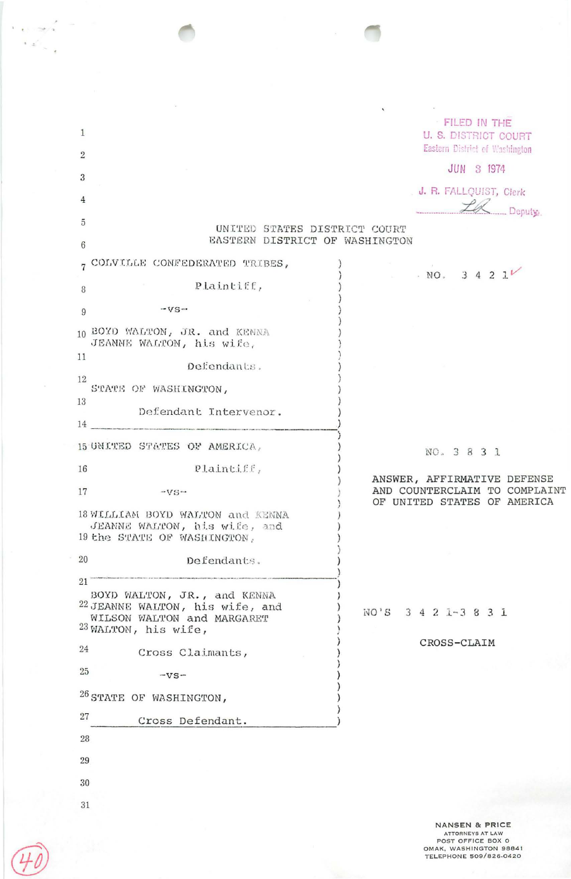|                                                                                                                                 | $\mathbf{v}$                                                                                |
|---------------------------------------------------------------------------------------------------------------------------------|---------------------------------------------------------------------------------------------|
| $\mathbf{1}$                                                                                                                    | FILED IN THE<br><b>U. S. DISTRICT COURT</b><br>Eastern District of Washington               |
| $\overline{2}$                                                                                                                  | JUN 3 1974                                                                                  |
| 3                                                                                                                               | . J. R. FALLQUIST, Clerk                                                                    |
| 4                                                                                                                               | Le Deputy.                                                                                  |
| 5                                                                                                                               | UNITED STATES DISTRICT COURT                                                                |
| $6\phantom{.}6$                                                                                                                 | EASTERN DISTRICT OF WASHINGTON                                                              |
| COLVILLE CONFEDERATED TRIBES,<br>$\overline{7}$                                                                                 | NO. 3 4 2 1 <sup>V</sup>                                                                    |
| Plaintiff,<br>8                                                                                                                 |                                                                                             |
| $-YS$ -<br>9                                                                                                                    |                                                                                             |
| 10 BOYD WALTON, JR. and KENNA<br>JEANNE WALTON, his wife,                                                                       |                                                                                             |
| 11<br>Defendants.                                                                                                               |                                                                                             |
| 12<br>STATE OF WASHINGTON,                                                                                                      |                                                                                             |
| 13<br>Defendant Intervenor.                                                                                                     |                                                                                             |
| 14                                                                                                                              |                                                                                             |
| 15 UNITED STATES OF AMERICA,                                                                                                    | NO. 3 8 3 1                                                                                 |
| Plaintiff,<br>16                                                                                                                |                                                                                             |
| 17<br>$-VS$ $\sim$                                                                                                              | ANSWER, AFFIRMATIVE DEFENSE<br>AND COUNTERCLAIM TO COMPLAINT<br>OF UNITED STATES OF AMERICA |
| 18 WILLIAM BOYD WALTON and KENNA<br>JEANNE WALTON, his wife, and<br>19 the STATE OF WASHINGTON,                                 |                                                                                             |
| 20<br>Defendants.                                                                                                               |                                                                                             |
| 21                                                                                                                              |                                                                                             |
| BOYD WALTON, JR., and KENNA<br>22 JEANNE WALTON, his wife, and<br>WILSON WALTON and MARGARET<br><sup>23</sup> WALTON, his wife, | $3$ 4 2 1 - 3 8 3 1<br>$NO$ <sup><math>\cdot</math></sup> S                                 |
| 24                                                                                                                              | CROSS-CLAIM                                                                                 |
| Cross Claimants,<br>25                                                                                                          |                                                                                             |
| $-VS -$                                                                                                                         |                                                                                             |
| <sup>26</sup> STATE OF WASHINGTON,<br>27                                                                                        |                                                                                             |
| Cross Defendant.                                                                                                                |                                                                                             |
| 28                                                                                                                              |                                                                                             |
| 29                                                                                                                              |                                                                                             |
| 30                                                                                                                              |                                                                                             |
| 31                                                                                                                              |                                                                                             |
|                                                                                                                                 | NANSEN & PRICE                                                                              |

 $\hat{\mathcal{L}}$ 

 $\bar{\imath}$ J.

 $\sim$ 

 $\left\langle \omega_{\rm{eff}}^2 \right\rangle_{\omega=2}$ 

 $\bar{\alpha}$ 

NANSEN & PRICE<br>
ATTORNEYS AT LAW<br>
POST OFFICE BOX 0<br>
OMAK, WASHINGTON 98841<br>
TELEPHONE 509/826-0420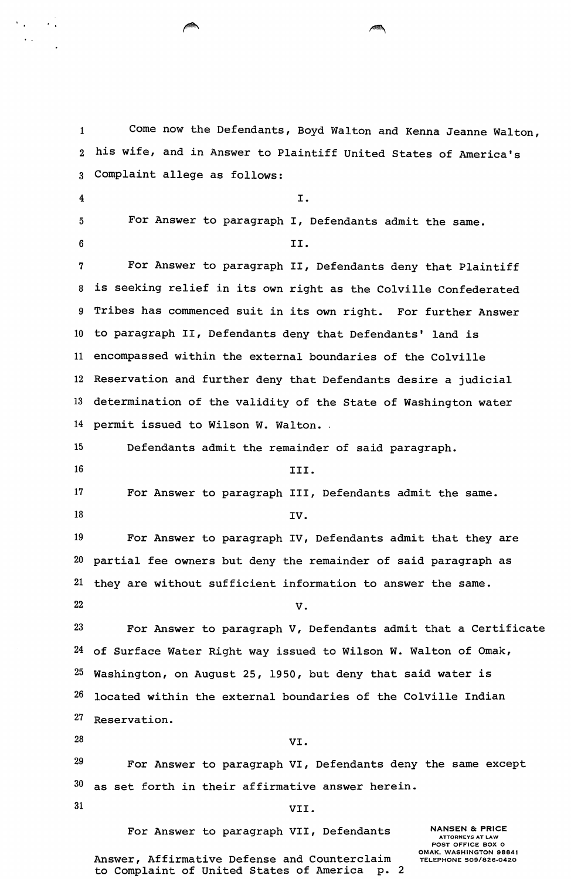1 Come now the Defendants, Boyd Walton and Kenna Jeanne Walton, 2 his wife, and *in* Answer to Plaintiff United States of America's <sup>3</sup>Complaint allege as follows:  $\mathbf{I}$ . 5 For Answer to paragraph I, Defendants admit the same.  $\begin{array}{ccc} 6 & & \text{II.} \end{array}$ <sup>7</sup>For Answer to paragraph II, Defendants deny that Plaintiff <sup>8</sup>*is* seeking relief *in* its own right as the Colville Confederated 9 Tribes has commenced suit *in* its own right. For further Answer 10 to paragraph II, Defendants deny that Defendants' land *is*  11 encompassed within the external boundaries of the Colville 12 Reservation and further deny that Defendants desire a judicial 13 determination of the validity of the State of Washington water 14 permit issued to Wilson W. Walton. 15 Defendants admit the remainder of said paragraph. 16 **III.** 17 For Answer to paragraph III, Defendants admit the same.  $18$  IV. 19 For Answer to paragraph IV, Defendants admit that they are 20 partial fee owners but deny the remainder of said paragraph as 21 they are without sufficient information to answer the same.  $22$   $V.$  $23$  For Answer to paragraph V, Defendants admit that a Certificate 24 of Surface Water Right way issued to Wilson W. Walton of Omak,

 $25$  Washington, on August 25, 1950, but deny that said water is 26 located within the external boundaries of the Colville Indian

27 Reservation.

 $28$  VI.

 $29$  For Answer to paragraph VI, Defendants deny the same except  $30$  as set forth in their affirmative answer herein.

 $\mathcal{F}_{\mathcal{A}}$ 

 $\ddot{\phantom{a}}$ 

 $\sim$   $\sim$ 

31 VII.

For Answer to paragraph VII, Defendants

NANSEN *Be* PRICE ATTORNEYS AT LAW POST OFFICE BOX 0 OMAK, WASHINGTON 98841 TELEPHONE 509/826·0420

Answer, Affirmative Defense and Counterclaim<br>to Complaint of United States of America p. 2 to Complaint of United States of America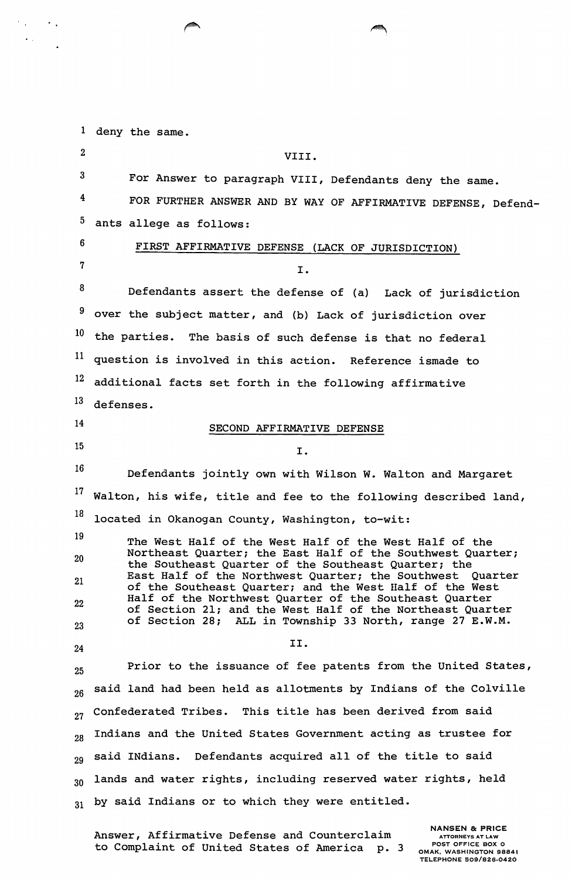<sup>1</sup>deny the same.

 $\mathcal{F}_{\text{in}}(\mathcal{F})$  ,  $\mathcal{F}_{\text{in}}$ 

| $\boldsymbol{2}$ | VIII.                                                                                                                |
|------------------|----------------------------------------------------------------------------------------------------------------------|
| $\boldsymbol{3}$ | For Answer to paragraph VIII, Defendants deny the same.                                                              |
| 4                | FOR FURTHER ANSWER AND BY WAY OF AFFIRMATIVE DEFENSE, Defend-                                                        |
| 5                | ants allege as follows:                                                                                              |
| 6                | FIRST AFFIRMATIVE DEFENSE (LACK OF JURISDICTION)                                                                     |
| 7                | I.                                                                                                                   |
| 8                | Defendants assert the defense of (a) Lack of jurisdiction                                                            |
| 9                | over the subject matter, and (b) Lack of jurisdiction over                                                           |
| 10               | the parties. The basis of such defense is that no federal                                                            |
| 11               | question is involved in this action. Reference ismade to                                                             |
| 12               | additional facts set forth in the following affirmative                                                              |
| 13               | defenses.                                                                                                            |
| 14               | SECOND AFFIRMATIVE DEFENSE                                                                                           |
| 15               | I.                                                                                                                   |
| 16               | Defendants jointly own with Wilson W. Walton and Margaret                                                            |
| 17               | Walton, his wife, title and fee to the following described land,                                                     |
| 18               | located in Okanogan County, Washington, to-wit:                                                                      |
| 19               | The West Half of the West Half of the West Half of the                                                               |
| $20\,$           | Northeast Quarter; the East Half of the Southwest Quarter;<br>the Southeast Quarter of the Southeast Quarter; the    |
| 21               | East Half of the Northwest Quarter; the Southwest Quarter<br>of the Southeast Quarter; and the West Half of the West |
| 22               | Half of the Northwest Quarter of the Southeast Quarter<br>of Section 21; and the West Half of the Northeast Quarter  |
| 23               | of Section 28; ALL in Township 33 North, range 27 E.W.M.                                                             |
| 24               | II.                                                                                                                  |
| 25               | Prior to the issuance of fee patents from the United States,                                                         |
| 26               | said land had been held as allotments by Indians of the Colville                                                     |
| 27               | Confederated Tribes. This title has been derived from said                                                           |
| 28               | Indians and the United States Government acting as trustee for                                                       |
| 29               | said INdians. Defendants acquired all of the title to said                                                           |
| 30               | lands and water rights, including reserved water rights, held                                                        |
| 31               | by said Indians or to which they were entitled.                                                                      |
|                  |                                                                                                                      |

Answer, Affirmative Defense and Counterclaim to Complaint of United States of America p. 3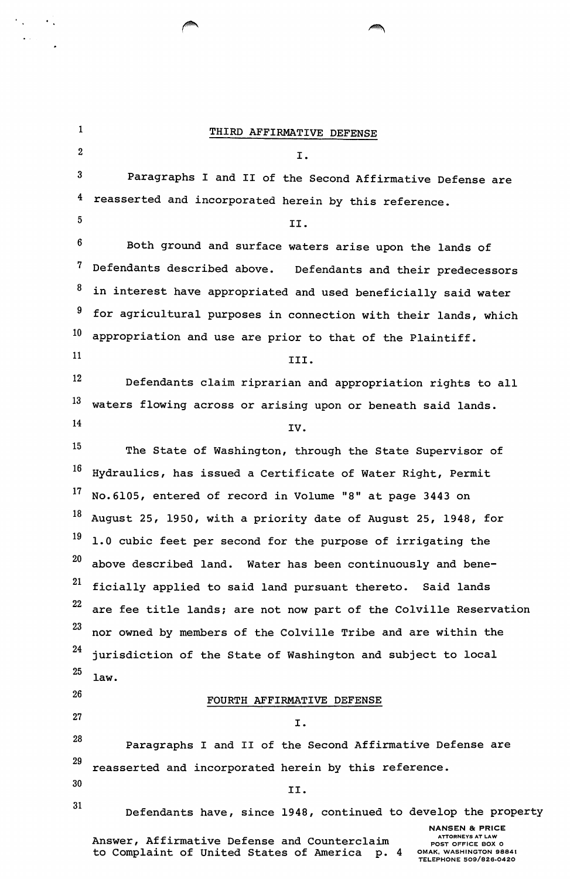1 THIRD AFFIRMATIVE DEFENSE  $2 \hspace{1.5cm} \text{I.}$ 3 Paragraphs I and II of the Second Affirmative Defense are 4 reasserted and incorporated herein by this reference.  $5$  II. 6 Both ground and surface waters arise upon the lands of 7 Defendants described above. Defendants and their predecessors  $8$  in interest have appropriated and used beneficially said water <sup>9</sup> for agricultural purposes in connection with their lands, which 1 appropriation and use are prior to that of the Plaintiff.  $11$  III. 12 Defendants claim riprarian and appropriation rights to all 13 waters flowing across or arising upon or beneath said lands.  $14$  IV. 15 The State of Washington, through the State Supervisor of  $16$  Hydraulics, has issued a Certificate of Water Right, Permit 17 No.6105, entered of record in Volume "8" at page 3443 on  $18$  August 25, 1950, with a priority date of August 25, 1948, for  $19$  1.0 cubic feet per second for the purpose of irrigating the  $20$  above described land. Water has been continuously and bene-21 ficially applied to said land pursuant thereto. Said lands 22 are fee title lands; are not now part of the Colville Reservation 23 nor owned by members of the Colville Tribe and are within the 24 25 26 27 28 29 30 31 jurisdiction of the State of Washington and subject to local law. FOURTH AFFIRMATIVE DEFENSE I. Paragraphs I and II of the Second Affirmative Defense are reasserted and incorporated herein by this reference. II. Defendants have, since 1948, continued to develop the property **NANSEN & PRICE** Answer, Affirmative Defense and Counterclaim to Complaint of United States of America p. 4 ATTORNEYS AT LAW POST OFFICE BOX 0 OMAK, WASHINGTON 98841 TELEPHONE 509/826-0420

 $\langle \cdot \rangle$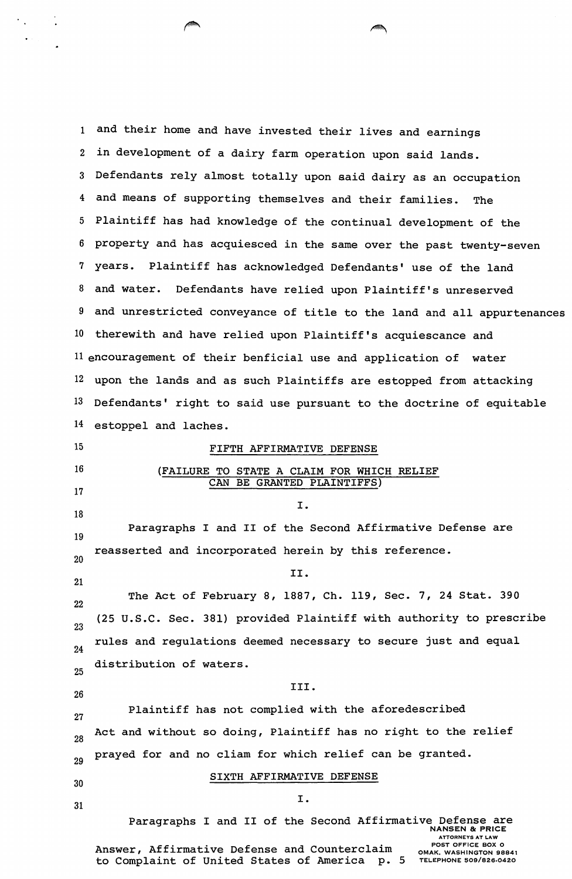1 and their home and have invested their lives and earnings 2 in development of a dairy farm operation upon said lands. <sup>3</sup>Defendants rely almost totally upon said dairy as an occupation 4 and means of supporting themselves and their families. The 5 Plaintiff has had knowledge of the continual development of the 6 property and has acquiesced in the same over the past twenty-seven 7 years. Plaintiff has acknowledged Defendants' use of the land 8 and water. Defendants have relied upon Plaintiff's unreserved 9 and unrestricted conveyance of title to the land and all appurtenances 10 therewith and have relied upon Plaintiff's acquiescance and 11 encouragement of their benficial use and application of water 12 upon the lands and as such Plaintiffs are estopped from attacking 13 Defendants' right to said use pursuant to the doctrine of equitable 14 estoppel and laches. 15 16 17 18 19 20 21 22 23 FIFTH AFFIRMATIVE DEFENSE (FAILURE TO STATE A CLAIM FOR WHICH RELIEF CAN BE GRANTED PLAINTIFFS) I. Paragraphs I and II of the Second Affirmative Defense are reasserted and incorporated herein by this reference. II. The Act of February 8, 1887, Ch. 119, Sec. 7, 24 Stat. 390 (25 u.s.c. Sec. 381) provided Plaintiff with authority to prescribe rules and regulations deemed necessary to secure just and equal distribution of waters. 25 III. 26 27 Plaintiff has not complied with the aforedescribed Act and without so doing, Plaintiff has no right to the relief 28 29 30 31 prayed for and no cliam for which relief can be granted. SIXTH AFFIRMATIVE DEFENSE I. Paragraphs I and II of the Second Affirmative Defense are NANSEN & PRICE Answer, Affirmative Defense and Counterclaim ATTORNEYS AT LAW POST OFFICE BOX 0 OMAK. WASHINGTON 98841

to Complaint of United States of America p. 5

TELEPHONE 509/826-0420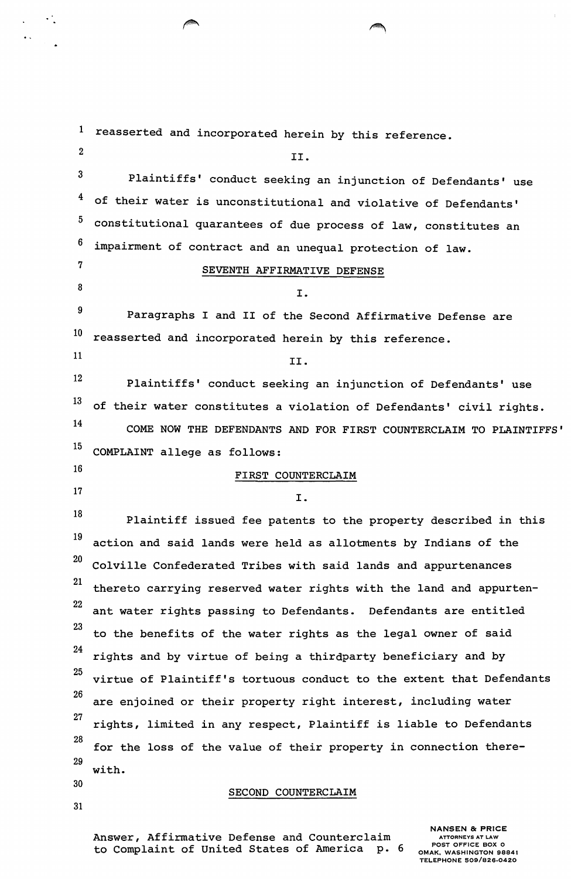1 2 3 4 5 6 7 8 reasserted and incorporated herein by this reference. II. Plaintiffs' conduct seeking an injunction of Defendants' use of their water is unconstitutional and violative of Defendants' constitutional quarantees of due process of law, constitutes an impairment of contract and an unequal protection of law. SEVENTH AFFIRMATIVE DEFENSE I.  $9$  Paragraphs I and II of the Second Affirmative Defense are  $10$  reasserted and incorporated herein by this reference.  $11$  II. 12 Plaintiffs' conduct seeking an injunction of Defendants' use  $13$  of their water constitutes a violation of Defendants' civil rights. 14 COME NOW THE DEFENDANTS AND FOR FIRST COUNTERCLAIM TO PLAINTIFFS' 15 COMPLAINT allege as follows: 16 FIRST COUNTERCLAIM  $17$   $I.$ 18 Plaintiff issued fee patents to the property described in this 19 action and said lands were held as allotments by Indians of the 2 Colville Confederated Tribes with said lands and appurtenances 21 thereto carrying reserved water rights with the land and appurten-22 23 24 25 26 27 28 29 30 ant water rights passing to Defendants. Defendants are entitled to the benefits of the water rights as the legal owner of said rights and by virtue of being a thirdparty beneficiary and by virtue of Plaintiff's tortuous conduct to the extent that Defendants are enjoined or their property right interest, including water rights, limited in any respect, Plaintiff is liable to Defendants for the loss of the value of their property in connection therewith. SECOND COUNTERCLAIM

Answer, Affirmative Defense and Counterclaim to Complaint of United States of America p. 6

31

 $\mathcal{L}_{\mathcal{A}}$ 

 $\bullet$   $\star$ 

NANSEN & PRICE ATTORNEYS AT LAW POST OFFICE BOX 0 OMAK, WASHINGTON 98841 TELEPHONE 509/826·0420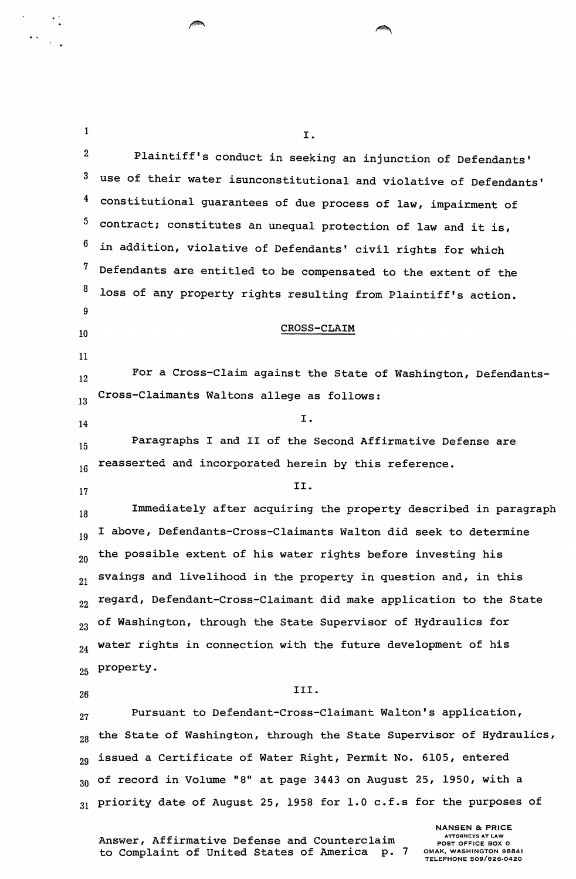| $\mathbf{1}$            | I.                                                                   |
|-------------------------|----------------------------------------------------------------------|
| $\boldsymbol{2}$        | Plaintiff's conduct in seeking an injunction of Defendants'          |
| 3                       | use of their water isunconstitutional and violative of Defendants'   |
| $\overline{\mathbf{f}}$ | constitutional guarantees of due process of law, impairment of       |
| $5\phantom{.0}$         | contract; constitutes an unequal protection of law and it is,        |
| 6                       | in addition, violative of Defendants' civil rights for which         |
| 7                       | Defendants are entitled to be compensated to the extent of the       |
| 8                       | loss of any property rights resulting from Plaintiff's action.       |
| 9                       |                                                                      |
| 10                      | CROSS-CLAIM                                                          |
| 11                      |                                                                      |
| 12                      | For a Cross-Claim against the State of Washington, Defendants-       |
| 13                      | Cross-Claimants Waltons allege as follows:                           |
| 14                      | $I \cdot$                                                            |
| 15                      | Paragraphs I and II of the Second Affirmative Defense are            |
| 16                      | reasserted and incorporated herein by this reference.                |
| 17                      | II.                                                                  |
| 18                      | Immediately after acquiring the property described in paragraph      |
| 19                      | I above, Defendants-Cross-Claimants Walton did seek to determine     |
| 20                      | the possible extent of his water rights before investing his         |
| 21                      | svaings and livelihood in the property in question and, in this      |
| 22                      | regard, Defendant-Cross-Claimant did make application to the State   |
| 23                      | of Washington, through the State Supervisor of Hydraulics for        |
| 24                      | water rights in connection with the future development of his        |
| 25                      | property.                                                            |
| 26                      | III.                                                                 |
| 27                      | Pursuant to Defendant-Cross-Claimant Walton's application,           |
| 28                      | the State of Washington, through the State Supervisor of Hydraulics, |
| 29                      | issued a Certificate of Water Right, Permit No. 6105, entered        |
| 30                      | of record in Volume "8" at page 3443 on August 25, 1950, with a      |
| 31                      | priority date of August 25, 1958 for 1.0 c.f.s for the purposes of   |
|                         | <b>NANSEN &amp; PRICE</b><br><b>ATTORNEYS AT LAW</b>                 |

 $\sqrt{2}$ 

 $\sqrt{2}$ 

Answer, Affirmative Defense and Counterclaim to Complaint of United States of America p. 7

## **NANSEN & PRICE**<br>ATTORNEYS AT LAW<br>POST OFFICE BOX 0 OMAK, WASHINGTON 98841 TELEPHONE 509/826-0420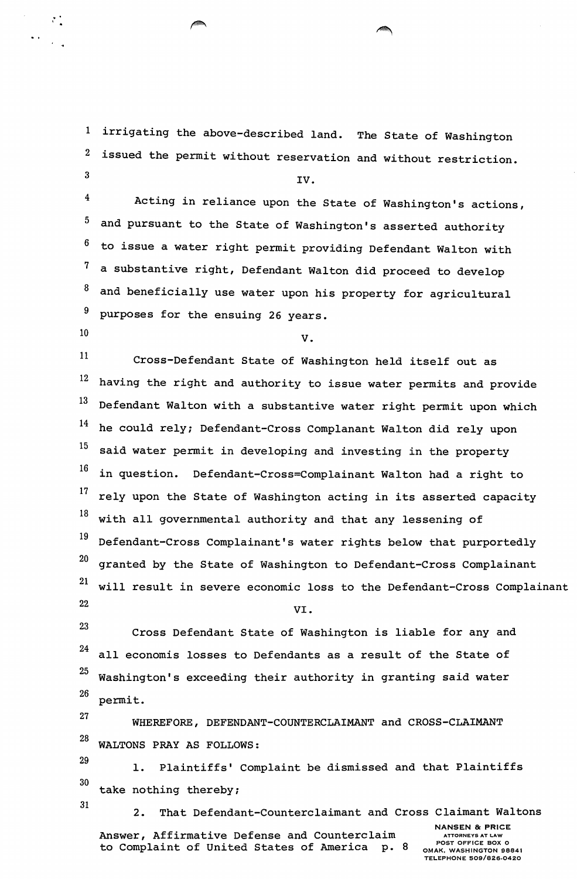1 irrigating the above-described land. The State of Washington 2 issued the permit without reservation and without restriction.

IV.

4 5 6 7 8 Acting in reliance upon the State of Washington's actions, and pursuant to the State of Washington's asserted authority to issue a water right permit providing Defendant Walton with a substantive right, Defendant Walton did proceed to develop and beneficially use water upon his property for agricultural <sup>9</sup> purposes for the ensuing 26 years.

3

 $\ddot{\cdot}$ 

 $10$  v.

11 Cross-Defendant State of Washington held itself out as  $12$  having the right and authority to issue water permits and provide  $13$  Defendant Walton with a substantive water right permit upon which 14 he could rely; Defendant-Cross Complanant Walton did rely upon  $15$  said water permit in developing and investing in the property  $16$  in question. Defendant-Cross=Complainant Walton had a right to  $17$  rely upon the State of Washington acting in its asserted capacity  $18$  with all governmental authority and that any lessening of 19 Defendant-Cross Complainant's water rights below that purportedly  $20$  granted by the State of Washington to Defendant-Cross Complainant 21 will result in severe economic loss to the Defendant-Cross Complainant  $22$  VI.

23 Cross Defendant State of Washington is liable for any and  $24$  all economis losses to Defendants as a result of the State of  $25$  Washington's exceeding their authority in granting said water 26 permit.

27 WHEREFORE, DEFENDANT-COUNTERCLAIMANT and CROSS-CLAIMANT 28 WALTONS PRAY AS FOLLOWS:

29 30 1. Plaintiffs' Complaint be dismissed and that Plaintiffs take nothing thereby;

31

2. That Defendant-Counterclaimant and Cross Claimant Waltons

Answer, Affirmative Defense and Counterclaim to Complaint of United States of America p. 8

NANSEN & PRICE ATTORNEYS AT LAW POST OFFICE BOX 0 OMAK, WASHINGTON 98841 TELEPHONE 509/826-0420